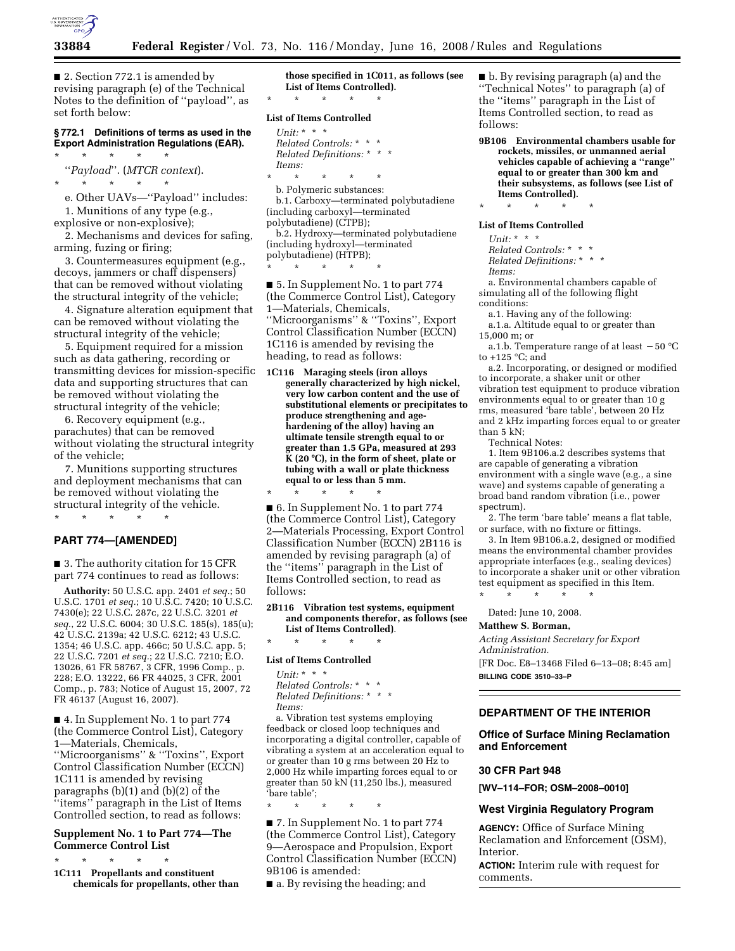

■ 2. Section 772.1 is amended by revising paragraph (e) of the Technical Notes to the definition of ''payload'', as set forth below:

#### **§ 772.1 Definitions of terms as used in the Export Administration Regulations (EAR).**  \* \* \* \* \*

''*Payload*''. (*MTCR context*).

\* \* \* \* \* e. Other UAVs—''Payload'' includes: 1. Munitions of any type (e.g.,

explosive or non-explosive);

2. Mechanisms and devices for safing, arming, fuzing or firing;

3. Countermeasures equipment (e.g., decoys, jammers or chaff dispensers) that can be removed without violating the structural integrity of the vehicle;

4. Signature alteration equipment that can be removed without violating the structural integrity of the vehicle;

5. Equipment required for a mission such as data gathering, recording or transmitting devices for mission-specific data and supporting structures that can be removed without violating the structural integrity of the vehicle;

6. Recovery equipment (e.g., parachutes) that can be removed without violating the structural integrity of the vehicle;

7. Munitions supporting structures and deployment mechanisms that can be removed without violating the structural integrity of the vehicle.

# \* \* \* \* \* **PART 774—[AMENDED]**

■ 3. The authority citation for 15 CFR part 774 continues to read as follows:

**Authority:** 50 U.S.C. app. 2401 *et seq.*; 50 U.S.C. 1701 *et seq.*; 10 U.S.C. 7420; 10 U.S.C. 7430(e); 22 U.S.C. 287c, 22 U.S.C. 3201 *et seq.*, 22 U.S.C. 6004; 30 U.S.C. 185(s), 185(u); 42 U.S.C. 2139a; 42 U.S.C. 6212; 43 U.S.C. 1354; 46 U.S.C. app. 466c; 50 U.S.C. app. 5; 22 U.S.C. 7201 *et seq.*; 22 U.S.C. 7210; E.O. 13026, 61 FR 58767, 3 CFR, 1996 Comp., p. 228; E.O. 13222, 66 FR 44025, 3 CFR, 2001 Comp., p. 783; Notice of August 15, 2007, 72 FR 46137 (August 16, 2007).

■ 4. In Supplement No. 1 to part 774 (the Commerce Control List), Category 1—Materials, Chemicals, ''Microorganisms'' & ''Toxins'', Export Control Classification Number (ECCN) 1C111 is amended by revising paragraphs (b)(1) and (b)(2) of the ''items'' paragraph in the List of Items Controlled section, to read as follows:

## **Supplement No. 1 to Part 774—The Commerce Control List**

\* \* \* \* \* **1C111 Propellants and constituent chemicals for propellants, other than** 

**those specified in 1C011, as follows (see List of Items Controlled).**  \* \* \* \* \*

## **List of Items Controlled**

- *Unit:* \* \* \* *Related Controls:* \* \* \* *Related Definitions:* \* \* \* *Items:*
- \* \* \* \* \*

b. Polymeric substances: b.1. Carboxy—terminated polybutadiene (including carboxyl—terminated polybutadiene) (CTPB);

b.2. Hydroxy—terminated polybutadiene (including hydroxyl—terminated polybutadiene) (HTPB);

\* \* \* \* \*

■ 5. In Supplement No. 1 to part 774 (the Commerce Control List), Category 1—Materials, Chemicals, ''Microorganisms'' & ''Toxins'', Export Control Classification Number (ECCN) 1C116 is amended by revising the heading, to read as follows:

**1C116 Maraging steels (iron alloys generally characterized by high nickel, very low carbon content and the use of substitutional elements or precipitates to produce strengthening and agehardening of the alloy) having an ultimate tensile strength equal to or greater than 1.5 GPa, measured at 293 K (20** ≥**C), in the form of sheet, plate or tubing with a wall or plate thickness equal to or less than 5 mm.** 

\* \* \* \* \* ■ 6. In Supplement No. 1 to part 774 (the Commerce Control List), Category 2—Materials Processing, Export Control Classification Number (ECCN) 2B116 is amended by revising paragraph (a) of the ''items'' paragraph in the List of Items Controlled section, to read as follows:

**2B116 Vibration test systems, equipment and components therefor, as follows (see List of Items Controlled)**.

# \* \* \* \* \* **List of Items Controlled**

*Unit:* \* \* \* *Related Controls:* \* \* \* *Related Definitions:* \* \* \* *Items:* 

\* \* \* \* \*

a. Vibration test systems employing feedback or closed loop techniques and incorporating a digital controller, capable of vibrating a system at an acceleration equal to or greater than 10 g rms between 20 Hz to 2,000 Hz while imparting forces equal to or greater than 50 kN (11,250 lbs.), measured 'bare table';

■ 7. In Supplement No. 1 to part 774 (the Commerce Control List), Category 9—Aerospace and Propulsion, Export Control Classification Number (ECCN) 9B106 is amended:

■ a. By revising the heading; and

■ b. By revising paragraph (a) and the ''Technical Notes'' to paragraph (a) of the ''items'' paragraph in the List of Items Controlled section, to read as follows:

**9B106 Environmental chambers usable for rockets, missiles, or unmanned aerial vehicles capable of achieving a ''range'' equal to or greater than 300 km and their subsystems, as follows (see List of Items Controlled).** 

# \* \* \* \* \* **List of Items Controlled**

*Unit:* \* \* \*

*Related Controls:* \* \* \* *Related Definitions:* \* \* \* *Items:* 

a. Environmental chambers capable of simulating all of the following flight conditions:

a.1. Having any of the following: a.1.a. Altitude equal to or greater than

15,000 m; or

a.1.b. Temperature range of at least  $-50$  °C to +125 °C; and

a.2. Incorporating, or designed or modified to incorporate, a shaker unit or other vibration test equipment to produce vibration environments equal to or greater than 10 g rms, measured 'bare table', between 20 Hz and 2 kHz imparting forces equal to or greater than 5 kN;

Technical Notes:

1. Item 9B106.a.2 describes systems that are capable of generating a vibration environment with a single wave (e.g., a sine wave) and systems capable of generating a broad band random vibration (i.e., power spectrum).

2. The term 'bare table' means a flat table, or surface, with no fixture or fittings.

3. In Item 9B106.a.2, designed or modified means the environmental chamber provides appropriate interfaces (e.g., sealing devices) to incorporate a shaker unit or other vibration test equipment as specified in this Item. \* \* \* \* \*

Dated: June 10, 2008.

## **Matthew S. Borman,**

*Acting Assistant Secretary for Export Administration.*  [FR Doc. E8–13468 Filed 6–13–08; 8:45 am] **BILLING CODE 3510–33–P** 

# **DEPARTMENT OF THE INTERIOR**

#### **Office of Surface Mining Reclamation and Enforcement**

#### **30 CFR Part 948**

**[WV–114–FOR; OSM–2008–0010]** 

#### **West Virginia Regulatory Program**

**AGENCY:** Office of Surface Mining Reclamation and Enforcement (OSM), Interior.

**ACTION:** Interim rule with request for comments.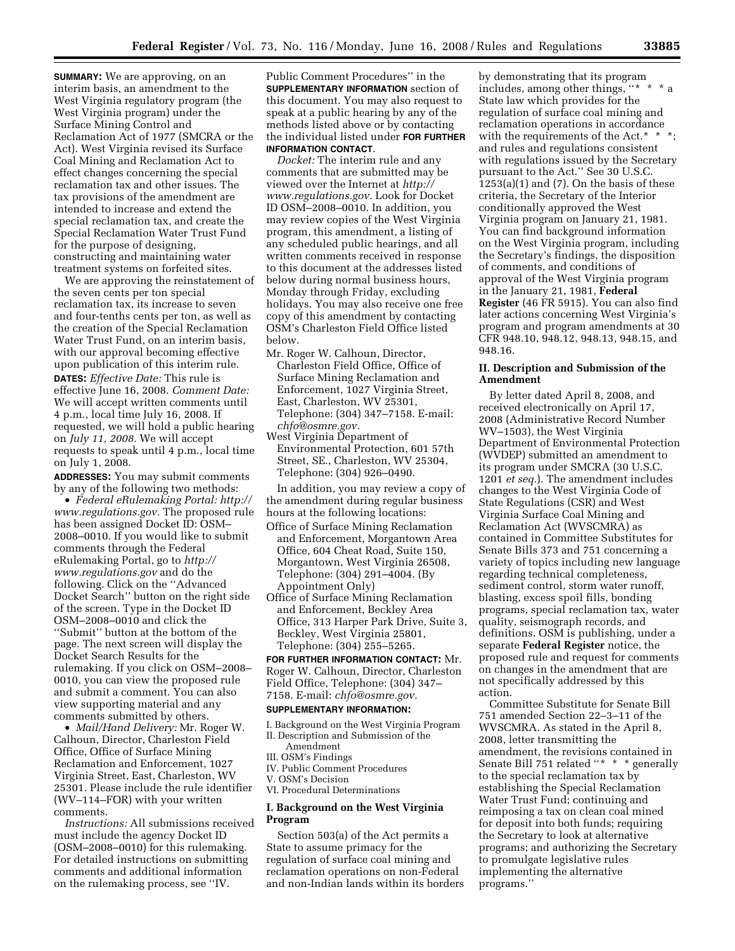**SUMMARY:** We are approving, on an interim basis, an amendment to the West Virginia regulatory program (the West Virginia program) under the Surface Mining Control and Reclamation Act of 1977 (SMCRA or the Act). West Virginia revised its Surface Coal Mining and Reclamation Act to effect changes concerning the special reclamation tax and other issues. The tax provisions of the amendment are intended to increase and extend the special reclamation tax, and create the Special Reclamation Water Trust Fund for the purpose of designing, constructing and maintaining water treatment systems on forfeited sites.

We are approving the reinstatement of the seven cents per ton special reclamation tax, its increase to seven and four-tenths cents per ton, as well as the creation of the Special Reclamation Water Trust Fund, on an interim basis, with our approval becoming effective upon publication of this interim rule. **DATES:** *Effective Date:* This rule is effective June 16, 2008. *Comment Date:*  We will accept written comments until 4 p.m., local time July 16, 2008. If requested, we will hold a public hearing on *July 11, 2008.* We will accept requests to speak until 4 p.m., local time on July 1, 2008.

**ADDRESSES:** You may submit comments by any of the following two methods:

• *Federal eRulemaking Portal: http:// www.regulations.gov.* The proposed rule has been assigned Docket ID: OSM– 2008–0010. If you would like to submit comments through the Federal eRulemaking Portal, go to *http:// www.regulations.gov* and do the following. Click on the ''Advanced Docket Search'' button on the right side of the screen. Type in the Docket ID OSM–2008–0010 and click the ''Submit'' button at the bottom of the page. The next screen will display the Docket Search Results for the rulemaking. If you click on OSM–2008– 0010, you can view the proposed rule and submit a comment. You can also view supporting material and any comments submitted by others.

• *Mail/Hand Delivery:* Mr. Roger W. Calhoun, Director, Charleston Field Office, Office of Surface Mining Reclamation and Enforcement, 1027 Virginia Street, East, Charleston, WV 25301. Please include the rule identifier (WV–114–FOR) with your written comments.

*Instructions:* All submissions received must include the agency Docket ID (OSM–2008–0010) for this rulemaking. For detailed instructions on submitting comments and additional information on the rulemaking process, see ''IV.

Public Comment Procedures'' in the **SUPPLEMENTARY INFORMATION** section of this document. You may also request to speak at a public hearing by any of the methods listed above or by contacting the individual listed under **FOR FURTHER INFORMATION CONTACT**.

*Docket:* The interim rule and any comments that are submitted may be viewed over the Internet at *http:// www.regulations.gov.* Look for Docket ID OSM–2008–0010. In addition, you may review copies of the West Virginia program, this amendment, a listing of any scheduled public hearings, and all written comments received in response to this document at the addresses listed below during normal business hours, Monday through Friday, excluding holidays. You may also receive one free copy of this amendment by contacting OSM's Charleston Field Office listed below.

- Mr. Roger W. Calhoun, Director, Charleston Field Office, Office of Surface Mining Reclamation and Enforcement, 1027 Virginia Street, East, Charleston, WV 25301, Telephone: (304) 347–7158. E-mail: *chfo@osmre.gov.*
- West Virginia Department of Environmental Protection, 601 57th Street, SE., Charleston, WV 25304, Telephone: (304) 926–0490.

In addition, you may review a copy of the amendment during regular business hours at the following locations:

- Office of Surface Mining Reclamation and Enforcement, Morgantown Area Office, 604 Cheat Road, Suite 150, Morgantown, West Virginia 26508, Telephone: (304) 291–4004. (By Appointment Only)
- Office of Surface Mining Reclamation and Enforcement, Beckley Area Office, 313 Harper Park Drive, Suite 3, Beckley, West Virginia 25801, Telephone: (304) 255–5265.

# **FOR FURTHER INFORMATION CONTACT:** Mr.

Roger W. Calhoun, Director, Charleston Field Office, Telephone: (304) 347– 7158. E-mail: *chfo@osmre.gov.* 

#### **SUPPLEMENTARY INFORMATION:**

- I. Background on the West Virginia Program II. Description and Submission of the
- Amendment
- III. OSM's Findings
- IV. Public Comment Procedures
- V. OSM's Decision
- VI. Procedural Determinations

## **I. Background on the West Virginia Program**

Section 503(a) of the Act permits a State to assume primacy for the regulation of surface coal mining and reclamation operations on non-Federal and non-Indian lands within its borders by demonstrating that its program includes, among other things, ''\* \* \* a State law which provides for the regulation of surface coal mining and reclamation operations in accordance with the requirements of the Act.\* and rules and regulations consistent with regulations issued by the Secretary pursuant to the Act.'' See 30 U.S.C.  $1253(a)(1)$  and  $(7)$ . On the basis of these criteria, the Secretary of the Interior conditionally approved the West Virginia program on January 21, 1981. You can find background information on the West Virginia program, including the Secretary's findings, the disposition of comments, and conditions of approval of the West Virginia program in the January 21, 1981, **Federal Register** (46 FR 5915). You can also find later actions concerning West Virginia's program and program amendments at 30 CFR 948.10, 948.12, 948.13, 948.15, and 948.16.

## **II. Description and Submission of the Amendment**

By letter dated April 8, 2008, and received electronically on April 17, 2008 (Administrative Record Number WV–1503), the West Virginia Department of Environmental Protection (WVDEP) submitted an amendment to its program under SMCRA (30 U.S.C. 1201 *et seq.*). The amendment includes changes to the West Virginia Code of State Regulations (CSR) and West Virginia Surface Coal Mining and Reclamation Act (WVSCMRA) as contained in Committee Substitutes for Senate Bills 373 and 751 concerning a variety of topics including new language regarding technical completeness, sediment control, storm water runoff, blasting, excess spoil fills, bonding programs, special reclamation tax, water quality, seismograph records, and definitions. OSM is publishing, under a separate **Federal Register** notice, the proposed rule and request for comments on changes in the amendment that are not specifically addressed by this action.

Committee Substitute for Senate Bill 751 amended Section 22–3–11 of the WVSCMRA. As stated in the April 8, 2008, letter transmitting the amendment, the revisions contained in Senate Bill 751 related "\* \* \* generally to the special reclamation tax by establishing the Special Reclamation Water Trust Fund; continuing and reimposing a tax on clean coal mined for deposit into both funds; requiring the Secretary to look at alternative programs; and authorizing the Secretary to promulgate legislative rules implementing the alternative programs.''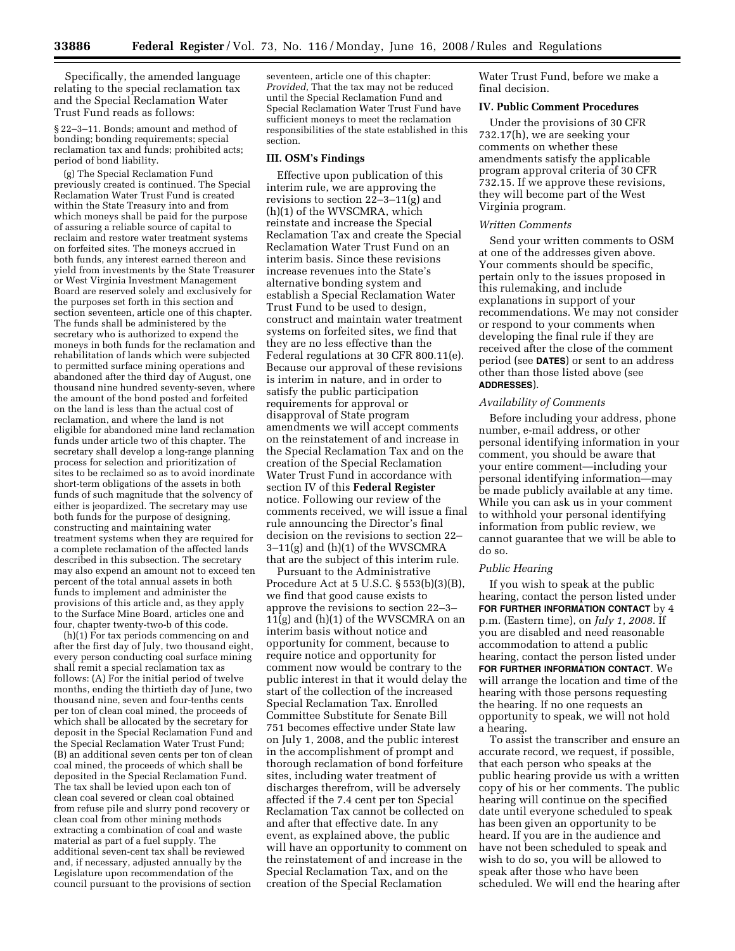Specifically, the amended language relating to the special reclamation tax and the Special Reclamation Water Trust Fund reads as follows:

§ 22–3–11. Bonds; amount and method of bonding; bonding requirements; special reclamation tax and funds; prohibited acts; period of bond liability.

(g) The Special Reclamation Fund previously created is continued. The Special Reclamation Water Trust Fund is created within the State Treasury into and from which moneys shall be paid for the purpose of assuring a reliable source of capital to reclaim and restore water treatment systems on forfeited sites. The moneys accrued in both funds, any interest earned thereon and yield from investments by the State Treasurer or West Virginia Investment Management Board are reserved solely and exclusively for the purposes set forth in this section and section seventeen, article one of this chapter. The funds shall be administered by the secretary who is authorized to expend the moneys in both funds for the reclamation and rehabilitation of lands which were subjected to permitted surface mining operations and abandoned after the third day of August, one thousand nine hundred seventy-seven, where the amount of the bond posted and forfeited on the land is less than the actual cost of reclamation, and where the land is not eligible for abandoned mine land reclamation funds under article two of this chapter. The secretary shall develop a long-range planning process for selection and prioritization of sites to be reclaimed so as to avoid inordinate short-term obligations of the assets in both funds of such magnitude that the solvency of either is jeopardized. The secretary may use both funds for the purpose of designing, constructing and maintaining water treatment systems when they are required for a complete reclamation of the affected lands described in this subsection. The secretary may also expend an amount not to exceed ten percent of the total annual assets in both funds to implement and administer the provisions of this article and, as they apply to the Surface Mine Board, articles one and four, chapter twenty-two-b of this code.

(h)(1) For tax periods commencing on and after the first day of July, two thousand eight, every person conducting coal surface mining shall remit a special reclamation tax as follows:  $(A)$  For the initial period of twelve months, ending the thirtieth day of June, two thousand nine, seven and four-tenths cents per ton of clean coal mined, the proceeds of which shall be allocated by the secretary for deposit in the Special Reclamation Fund and the Special Reclamation Water Trust Fund; (B) an additional seven cents per ton of clean coal mined, the proceeds of which shall be deposited in the Special Reclamation Fund. The tax shall be levied upon each ton of clean coal severed or clean coal obtained from refuse pile and slurry pond recovery or clean coal from other mining methods extracting a combination of coal and waste material as part of a fuel supply. The additional seven-cent tax shall be reviewed and, if necessary, adjusted annually by the Legislature upon recommendation of the council pursuant to the provisions of section

seventeen, article one of this chapter: *Provided,* That the tax may not be reduced until the Special Reclamation Fund and Special Reclamation Water Trust Fund have sufficient moneys to meet the reclamation responsibilities of the state established in this section.

#### **III. OSM's Findings**

Effective upon publication of this interim rule, we are approving the revisions to section 22–3–11(g) and (h)(1) of the WVSCMRA, which reinstate and increase the Special Reclamation Tax and create the Special Reclamation Water Trust Fund on an interim basis. Since these revisions increase revenues into the State's alternative bonding system and establish a Special Reclamation Water Trust Fund to be used to design, construct and maintain water treatment systems on forfeited sites, we find that they are no less effective than the Federal regulations at 30 CFR 800.11(e). Because our approval of these revisions is interim in nature, and in order to satisfy the public participation requirements for approval or disapproval of State program amendments we will accept comments on the reinstatement of and increase in the Special Reclamation Tax and on the creation of the Special Reclamation Water Trust Fund in accordance with section IV of this **Federal Register**  notice. Following our review of the comments received, we will issue a final rule announcing the Director's final decision on the revisions to section 22– 3–11(g) and (h)(1) of the WVSCMRA that are the subject of this interim rule.

Pursuant to the Administrative Procedure Act at 5 U.S.C. § 553(b)(3)(B), we find that good cause exists to approve the revisions to section 22–3– 11(g) and (h)(1) of the WVSCMRA on an interim basis without notice and opportunity for comment, because to require notice and opportunity for comment now would be contrary to the public interest in that it would delay the start of the collection of the increased Special Reclamation Tax. Enrolled Committee Substitute for Senate Bill 751 becomes effective under State law on July 1, 2008, and the public interest in the accomplishment of prompt and thorough reclamation of bond forfeiture sites, including water treatment of discharges therefrom, will be adversely affected if the 7.4 cent per ton Special Reclamation Tax cannot be collected on and after that effective date. In any event, as explained above, the public will have an opportunity to comment on the reinstatement of and increase in the Special Reclamation Tax, and on the creation of the Special Reclamation

Water Trust Fund, before we make a final decision.

#### **IV. Public Comment Procedures**

Under the provisions of 30 CFR 732.17(h), we are seeking your comments on whether these amendments satisfy the applicable program approval criteria of 30 CFR 732.15. If we approve these revisions, they will become part of the West Virginia program.

#### *Written Comments*

Send your written comments to OSM at one of the addresses given above. Your comments should be specific, pertain only to the issues proposed in this rulemaking, and include explanations in support of your recommendations. We may not consider or respond to your comments when developing the final rule if they are received after the close of the comment period (see **DATES**) or sent to an address other than those listed above (see **ADDRESSES**).

#### *Availability of Comments*

Before including your address, phone number, e-mail address, or other personal identifying information in your comment, you should be aware that your entire comment—including your personal identifying information—may be made publicly available at any time. While you can ask us in your comment to withhold your personal identifying information from public review, we cannot guarantee that we will be able to do so.

#### *Public Hearing*

If you wish to speak at the public hearing, contact the person listed under **FOR FURTHER INFORMATION CONTACT** by 4 p.m. (Eastern time), on *July 1, 2008*. If you are disabled and need reasonable accommodation to attend a public hearing, contact the person listed under **FOR FURTHER INFORMATION CONTACT**. We will arrange the location and time of the hearing with those persons requesting the hearing. If no one requests an opportunity to speak, we will not hold a hearing.

To assist the transcriber and ensure an accurate record, we request, if possible, that each person who speaks at the public hearing provide us with a written copy of his or her comments. The public hearing will continue on the specified date until everyone scheduled to speak has been given an opportunity to be heard. If you are in the audience and have not been scheduled to speak and wish to do so, you will be allowed to speak after those who have been scheduled. We will end the hearing after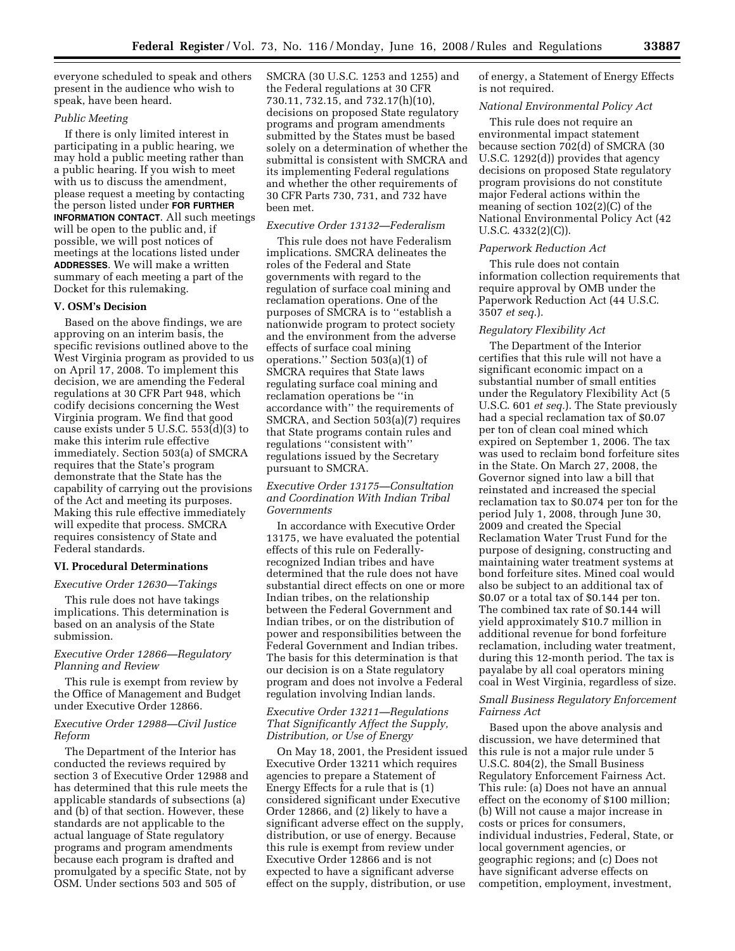everyone scheduled to speak and others present in the audience who wish to speak, have been heard.

#### *Public Meeting*

If there is only limited interest in participating in a public hearing, we may hold a public meeting rather than a public hearing. If you wish to meet with us to discuss the amendment, please request a meeting by contacting the person listed under **FOR FURTHER INFORMATION CONTACT**. All such meetings will be open to the public and, if possible, we will post notices of meetings at the locations listed under **ADDRESSES**. We will make a written summary of each meeting a part of the Docket for this rulemaking.

#### **V. OSM's Decision**

Based on the above findings, we are approving on an interim basis, the specific revisions outlined above to the West Virginia program as provided to us on April 17, 2008. To implement this decision, we are amending the Federal regulations at 30 CFR Part 948, which codify decisions concerning the West Virginia program. We find that good cause exists under 5 U.S.C. 553(d)(3) to make this interim rule effective immediately. Section 503(a) of SMCRA requires that the State's program demonstrate that the State has the capability of carrying out the provisions of the Act and meeting its purposes. Making this rule effective immediately will expedite that process. SMCRA requires consistency of State and Federal standards.

## **VI. Procedural Determinations**

#### *Executive Order 12630—Takings*

This rule does not have takings implications. This determination is based on an analysis of the State submission.

## *Executive Order 12866—Regulatory Planning and Review*

This rule is exempt from review by the Office of Management and Budget under Executive Order 12866.

### *Executive Order 12988—Civil Justice Reform*

The Department of the Interior has conducted the reviews required by section 3 of Executive Order 12988 and has determined that this rule meets the applicable standards of subsections (a) and (b) of that section. However, these standards are not applicable to the actual language of State regulatory programs and program amendments because each program is drafted and promulgated by a specific State, not by OSM. Under sections 503 and 505 of

SMCRA (30 U.S.C. 1253 and 1255) and the Federal regulations at 30 CFR 730.11, 732.15, and 732.17(h)(10), decisions on proposed State regulatory programs and program amendments submitted by the States must be based solely on a determination of whether the submittal is consistent with SMCRA and its implementing Federal regulations and whether the other requirements of 30 CFR Parts 730, 731, and 732 have been met.

## *Executive Order 13132—Federalism*

This rule does not have Federalism implications. SMCRA delineates the roles of the Federal and State governments with regard to the regulation of surface coal mining and reclamation operations. One of the purposes of SMCRA is to ''establish a nationwide program to protect society and the environment from the adverse effects of surface coal mining operations.'' Section 503(a)(1) of SMCRA requires that State laws regulating surface coal mining and reclamation operations be ''in accordance with'' the requirements of SMCRA, and Section 503(a)(7) requires that State programs contain rules and regulations ''consistent with'' regulations issued by the Secretary pursuant to SMCRA.

## *Executive Order 13175—Consultation and Coordination With Indian Tribal Governments*

In accordance with Executive Order 13175, we have evaluated the potential effects of this rule on Federallyrecognized Indian tribes and have determined that the rule does not have substantial direct effects on one or more Indian tribes, on the relationship between the Federal Government and Indian tribes, or on the distribution of power and responsibilities between the Federal Government and Indian tribes. The basis for this determination is that our decision is on a State regulatory program and does not involve a Federal regulation involving Indian lands.

## *Executive Order 13211—Regulations That Significantly Affect the Supply, Distribution, or Use of Energy*

On May 18, 2001, the President issued Executive Order 13211 which requires agencies to prepare a Statement of Energy Effects for a rule that is (1) considered significant under Executive Order 12866, and (2) likely to have a significant adverse effect on the supply, distribution, or use of energy. Because this rule is exempt from review under Executive Order 12866 and is not expected to have a significant adverse effect on the supply, distribution, or use

of energy, a Statement of Energy Effects is not required.

#### *National Environmental Policy Act*

This rule does not require an environmental impact statement because section 702(d) of SMCRA (30 U.S.C. 1292(d)) provides that agency decisions on proposed State regulatory program provisions do not constitute major Federal actions within the meaning of section 102(2)(C) of the National Environmental Policy Act (42 U.S.C. 4332(2)(C)).

## *Paperwork Reduction Act*

This rule does not contain information collection requirements that require approval by OMB under the Paperwork Reduction Act (44 U.S.C. 3507 *et seq*.).

### *Regulatory Flexibility Act*

The Department of the Interior certifies that this rule will not have a significant economic impact on a substantial number of small entities under the Regulatory Flexibility Act (5 U.S.C. 601 *et seq.*). The State previously had a special reclamation tax of \$0.07 per ton of clean coal mined which expired on September 1, 2006. The tax was used to reclaim bond forfeiture sites in the State. On March 27, 2008, the Governor signed into law a bill that reinstated and increased the special reclamation tax to \$0.074 per ton for the period July 1, 2008, through June 30, 2009 and created the Special Reclamation Water Trust Fund for the purpose of designing, constructing and maintaining water treatment systems at bond forfeiture sites. Mined coal would also be subject to an additional tax of \$0.07 or a total tax of \$0.144 per ton. The combined tax rate of \$0.144 will yield approximately \$10.7 million in additional revenue for bond forfeiture reclamation, including water treatment, during this 12-month period. The tax is payalabe by all coal operators mining coal in West Virginia, regardless of size.

## *Small Business Regulatory Enforcement Fairness Act*

Based upon the above analysis and discussion, we have determined that this rule is not a major rule under 5 U.S.C. 804(2), the Small Business Regulatory Enforcement Fairness Act. This rule: (a) Does not have an annual effect on the economy of \$100 million; (b) Will not cause a major increase in costs or prices for consumers, individual industries, Federal, State, or local government agencies, or geographic regions; and (c) Does not have significant adverse effects on competition, employment, investment,